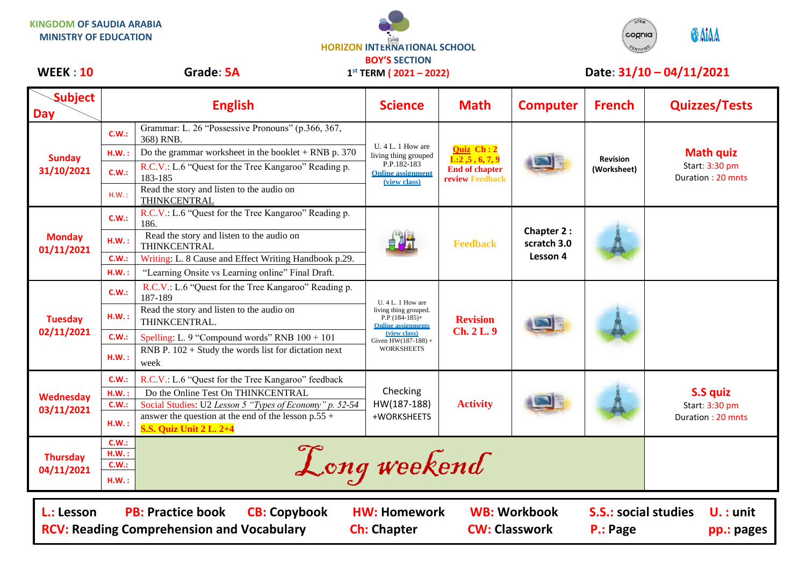**KINGDOM OF SAUDIA ARABIA MINISTRY OF EDUCATION**



**1 st TERM ( 2021 – 2022)**



## WEEK : 10 Grade: 5A 1<sup>st</sup> TERM (2021 – 2022) Date: 31/10 – 04/11/2021

| <b>Subject</b><br><b>Day</b>                                   |                                                         | <b>English</b>                                                                          | <b>Science</b>                                                                                       | <b>Math</b>                                                           | <b>Computer</b>                              | <b>French</b>                  | <b>Quizzes/Tests</b>                                    |  |
|----------------------------------------------------------------|---------------------------------------------------------|-----------------------------------------------------------------------------------------|------------------------------------------------------------------------------------------------------|-----------------------------------------------------------------------|----------------------------------------------|--------------------------------|---------------------------------------------------------|--|
| <b>Sunday</b><br>31/10/2021                                    | C.W.:                                                   | Grammar: L. 26 "Possessive Pronouns" (p.366, 367,<br>368) RNB.                          | $U.4 L.1$ How are<br>living thing grouped<br>P.P.182-183<br><b>Online assignment</b><br>(view class) | Quiz Ch: 2<br>L:2,5,6,7,9<br><b>End of chapter</b><br>review Feedback |                                              | <b>Revision</b><br>(Worksheet) | <b>Math quiz</b><br>Start: 3:30 pm<br>Duration: 20 mnts |  |
|                                                                | H.W.:                                                   | Do the grammar worksheet in the booklet $+$ RNB p. 370                                  |                                                                                                      |                                                                       |                                              |                                |                                                         |  |
|                                                                | C.W.:                                                   | R.C.V.: L.6 "Quest for the Tree Kangaroo" Reading p.<br>183-185                         |                                                                                                      |                                                                       |                                              |                                |                                                         |  |
|                                                                | H.W.:                                                   | Read the story and listen to the audio on<br>THINKCENTRAL                               |                                                                                                      |                                                                       |                                              |                                |                                                         |  |
| <b>Monday</b><br>01/11/2021                                    | C.W.:                                                   | R.C.V.: L.6 "Quest for the Tree Kangaroo" Reading p.<br>186.                            |                                                                                                      | <b>Feedback</b>                                                       | <b>Chapter 2:</b><br>scratch 3.0<br>Lesson 4 |                                |                                                         |  |
|                                                                | H.W.:                                                   | Read the story and listen to the audio on<br>THINKCENTRAL                               |                                                                                                      |                                                                       |                                              |                                |                                                         |  |
|                                                                | C.W.:                                                   | Writing: L. 8 Cause and Effect Writing Handbook p.29.                                   |                                                                                                      |                                                                       |                                              |                                |                                                         |  |
|                                                                | H.W.:                                                   | "Learning Onsite vs Learning online" Final Draft.                                       |                                                                                                      |                                                                       |                                              |                                |                                                         |  |
| <b>Tuesday</b><br>02/11/2021                                   | C.W.:                                                   | R.C.V.: L.6 "Quest for the Tree Kangaroo" Reading p.<br>187-189                         | U. 4 L. 1 How are<br>living thing grouped.<br>$P.P$ (184-185)+<br><b>Online assignments</b>          | <b>Revision</b><br><b>Ch. 2 L. 9</b>                                  |                                              |                                |                                                         |  |
|                                                                | $H.W.$ :                                                | Read the story and listen to the audio on<br>THINKCENTRAL.                              |                                                                                                      |                                                                       |                                              |                                |                                                         |  |
|                                                                | C.W.:                                                   | Spelling: L. 9 "Compound words" RNB $100 + 101$                                         | (view class)<br>Given $HW(187-188) +$                                                                |                                                                       |                                              |                                |                                                         |  |
|                                                                | H.W.:                                                   | RNB P. $102 +$ Study the words list for dictation next<br>week                          | <b>WORKSHEETS</b>                                                                                    |                                                                       |                                              |                                |                                                         |  |
| Wednesday<br>03/11/2021                                        | C.W.:                                                   | R.C.V.: L.6 "Quest for the Tree Kangaroo" feedback                                      | Checking<br>HW(187-188)<br>+WORKSHEETS                                                               | <b>Activity</b>                                                       |                                              |                                |                                                         |  |
|                                                                | $H.W.$ :                                                | Do the Online Test On THINKCENTRAL                                                      |                                                                                                      |                                                                       |                                              |                                | <b>S.S quiz</b><br>Start: 3:30 pm<br>Duration: 20 mnts  |  |
|                                                                | C.W.:                                                   | Social Studies: U2 Lesson 5 "Types of Economy" p. 52-54                                 |                                                                                                      |                                                                       |                                              |                                |                                                         |  |
|                                                                | H.W.:                                                   | answer the question at the end of the lesson $p.55 +$<br><b>S.S. Quiz Unit 2 L. 2+4</b> |                                                                                                      |                                                                       |                                              |                                |                                                         |  |
| <b>Thursday</b><br>04/11/2021                                  | C.W.:                                                   | Long weekend                                                                            |                                                                                                      |                                                                       |                                              |                                |                                                         |  |
|                                                                | $H.W.$ :<br>C.W.:                                       |                                                                                         |                                                                                                      |                                                                       |                                              |                                |                                                         |  |
|                                                                | H.W.:                                                   |                                                                                         |                                                                                                      |                                                                       |                                              |                                |                                                         |  |
|                                                                |                                                         |                                                                                         |                                                                                                      |                                                                       |                                              |                                |                                                         |  |
| L.: Lesson<br><b>RCV: Reading Comprehension and Vocabulary</b> | <b>S.S.: social studies</b><br>$U.:$ unit<br>pp.: pages |                                                                                         |                                                                                                      |                                                                       |                                              |                                |                                                         |  |